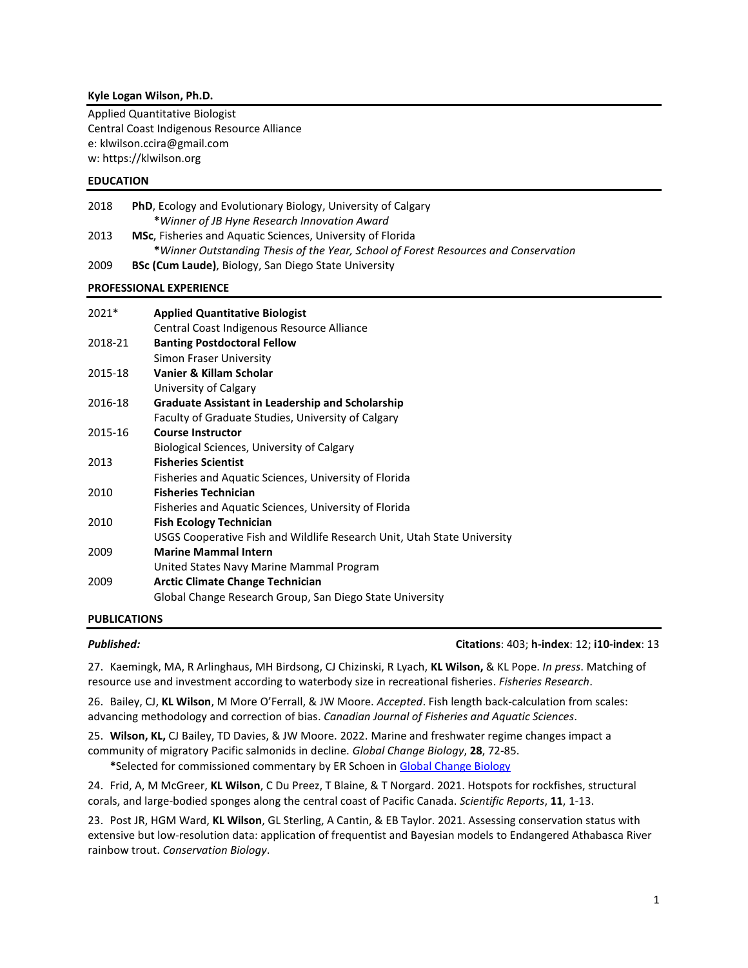#### **Kyle Logan Wilson, Ph.D.**

Applied Quantitative Biologist Central Coast Indigenous Resource Alliance e: klwilson.ccira@gmail.com w: https://klwilson.org

# **EDUCATION**

| 2018 | <b>PhD.</b> Ecology and Evolutionary Biology, University of Calgary                 |
|------|-------------------------------------------------------------------------------------|
|      | *Winner of JB Hyne Research Innovation Award                                        |
| 2013 | <b>MSc.</b> Fisheries and Aquatic Sciences, University of Florida                   |
|      | *Winner Outstanding Thesis of the Year, School of Forest Resources and Conservation |
|      |                                                                                     |

2009 **BSc (Cum Laude)**, Biology, San Diego State University

#### **PROFESSIONAL EXPERIENCE**

| $2021*$ | <b>Applied Quantitative Biologist</b>                                   |
|---------|-------------------------------------------------------------------------|
|         | Central Coast Indigenous Resource Alliance                              |
| 2018-21 | <b>Banting Postdoctoral Fellow</b>                                      |
|         | Simon Fraser University                                                 |
| 2015-18 | Vanier & Killam Scholar                                                 |
|         | University of Calgary                                                   |
| 2016-18 | <b>Graduate Assistant in Leadership and Scholarship</b>                 |
|         | Faculty of Graduate Studies, University of Calgary                      |
| 2015-16 | <b>Course Instructor</b>                                                |
|         | Biological Sciences, University of Calgary                              |
| 2013    | <b>Fisheries Scientist</b>                                              |
|         | Fisheries and Aquatic Sciences, University of Florida                   |
| 2010    | <b>Fisheries Technician</b>                                             |
|         | Fisheries and Aquatic Sciences, University of Florida                   |
| 2010    | <b>Fish Ecology Technician</b>                                          |
|         | USGS Cooperative Fish and Wildlife Research Unit, Utah State University |
| 2009    | <b>Marine Mammal Intern</b>                                             |
|         | United States Navy Marine Mammal Program                                |
| 2009    | <b>Arctic Climate Change Technician</b>                                 |
|         | Global Change Research Group, San Diego State University                |
|         |                                                                         |
|         |                                                                         |

#### **PUBLICATIONS**

*Published:* **Citations**: 403; **h-index**: 12; **i10-index**: 13

27. Kaemingk, MA, R Arlinghaus, MH Birdsong, CJ Chizinski, R Lyach, **KL Wilson,** & KL Pope. *In press*. Matching of resource use and investment according to waterbody size in recreational fisheries. *Fisheries Research*.

26. Bailey, CJ, **KL Wilson**, M More O'Ferrall, & JW Moore. *Accepted*. Fish length back-calculation from scales: advancing methodology and correction of bias. *Canadian Journal of Fisheries and Aquatic Sciences*.

25. **Wilson, KL,** CJ Bailey, TD Davies, & JW Moore. 2022. Marine and freshwater regime changes impact a community of migratory Pacific salmonids in decline. *Global Change Biology*, **28**, 72-85.

**\***Selected for commissioned commentary by ER Schoen in [Global Change Biology](https://doi.org/10.1111/gcb.15948)

24. Frid, A, M McGreer, **KL Wilson**, C Du Preez, T Blaine, & T Norgard. 2021. Hotspots for rockfishes, structural corals, and large-bodied sponges along the central coast of Pacific Canada. *Scientific Reports*, **11**, 1-13.

23. Post JR, HGM Ward, **KL Wilson**, GL Sterling, A Cantin, & EB Taylor. 2021. Assessing conservation status with extensive but low-resolution data: application of frequentist and Bayesian models to Endangered Athabasca River rainbow trout. *Conservation Biology*.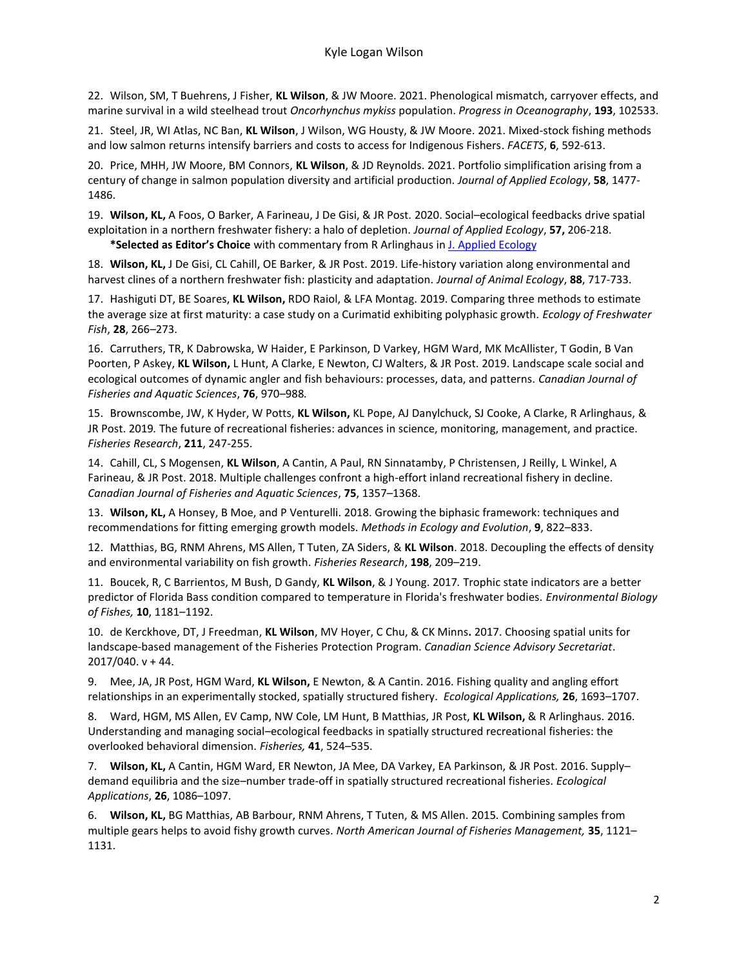22. Wilson, SM, T Buehrens, J Fisher, **KL Wilson**, & JW Moore. 2021. Phenological mismatch, carryover effects, and marine survival in a wild steelhead trout *Oncorhynchus mykiss* population. *Progress in Oceanography*, **193**, 102533.

21. Steel, JR, WI Atlas, NC Ban, **KL Wilson**, J Wilson, WG Housty, & JW Moore. 2021. Mixed-stock fishing methods and low salmon returns intensify barriers and costs to access for Indigenous Fishers. *FACETS*, **6**, 592-613.

20. Price, MHH, JW Moore, BM Connors, **KL Wilson**, & JD Reynolds. 2021. Portfolio simplification arising from a century of change in salmon population diversity and artificial production. *Journal of Applied Ecology*, **58**, 1477- 1486.

19. **Wilson, KL,** A Foos, O Barker, A Farineau, J De Gisi, & JR Post. 2020. Social–ecological feedbacks drive spatial exploitation in a northern freshwater fishery: a halo of depletion. *Journal of Applied Ecology*, **57,** 206-218. **\*Selected as Editor's Choice** with commentary from R Arlinghaus in [J. Applied Ecology](https://appliedecologistsblog.com/2020/02/04/editors-choice-5702/)

18. **Wilson, KL,** J De Gisi, CL Cahill, OE Barker, & JR Post. 2019. Life-history variation along environmental and harvest clines of a northern freshwater fish: plasticity and adaptation. *Journal of Animal Ecology*, **88**, 717-733.

17. Hashiguti DT, BE Soares, **KL Wilson,** RDO Raiol, & LFA Montag. 2019. Comparing three methods to estimate the average size at first maturity: a case study on a Curimatid exhibiting polyphasic growth. *Ecology of Freshwater Fish*, **28**, 266–273.

16. Carruthers, TR, K Dabrowska, W Haider, E Parkinson, D Varkey, HGM Ward, MK McAllister, T Godin, B Van Poorten, P Askey, **KL Wilson,** L Hunt, A Clarke, E Newton, CJ Walters, & JR Post. 2019. Landscape scale social and ecological outcomes of dynamic angler and fish behaviours: processes, data, and patterns. *Canadian Journal of Fisheries and Aquatic Sciences*, **76**, 970–988*.*

15. Brownscombe, JW, K Hyder, W Potts, **KL Wilson,** KL Pope, AJ Danylchuck, SJ Cooke, A Clarke, R Arlinghaus, & JR Post. 2019*.* The future of recreational fisheries: advances in science, monitoring, management, and practice. *Fisheries Research*, **211**, 247-255.

14. Cahill, CL, S Mogensen, **KL Wilson**, A Cantin, A Paul, RN Sinnatamby, P Christensen, J Reilly, L Winkel, A Farineau, & JR Post. 2018. Multiple challenges confront a high-effort inland recreational fishery in decline. *Canadian Journal of Fisheries and Aquatic Sciences*, **75**, 1357–1368.

13. **Wilson, KL,** A Honsey, B Moe, and P Venturelli. 2018. Growing the biphasic framework: techniques and recommendations for fitting emerging growth models. *Methods in Ecology and Evolution*, **9**, 822–833.

12. Matthias, BG, RNM Ahrens, MS Allen, T Tuten, ZA Siders, & **KL Wilson**. 2018. Decoupling the effects of density and environmental variability on fish growth. *Fisheries Research*, **198**, 209–219.

11. Boucek, R, C Barrientos, M Bush, D Gandy, **KL Wilson**, & J Young. 2017*.* Trophic state indicators are a better predictor of Florida Bass condition compared to temperature in Florida's freshwater bodies. *Environmental Biology of Fishes,* **10**, 1181–1192.

10. de Kerckhove, DT, J Freedman, **KL Wilson**, MV Hoyer, C Chu, & CK Minns**.** 2017. Choosing spatial units for landscape-based management of the Fisheries Protection Program. *Canadian Science Advisory Secretariat*. 2017/040. v + 44.

9. Mee, JA, JR Post, HGM Ward, **KL Wilson,** E Newton, & A Cantin. 2016. Fishing quality and angling effort relationships in an experimentally stocked, spatially structured fishery. *Ecological Applications,* **26**, 1693–1707.

8. Ward, HGM, MS Allen, EV Camp, NW Cole, LM Hunt, B Matthias, JR Post, **KL Wilson,** & R Arlinghaus. 2016. Understanding and managing social–ecological feedbacks in spatially structured recreational fisheries: the overlooked behavioral dimension. *Fisheries,* **41**, 524–535.

7. **Wilson, KL,** A Cantin, HGM Ward, ER Newton, JA Mee, DA Varkey, EA Parkinson, & JR Post. 2016. Supply– demand equilibria and the size–number trade-off in spatially structured recreational fisheries. *Ecological Applications*, **26**, 1086–1097.

6. **Wilson, KL,** BG Matthias, AB Barbour, RNM Ahrens, T Tuten, & MS Allen. 2015*.* Combining samples from multiple gears helps to avoid fishy growth curves. *North American Journal of Fisheries Management,* **35**, 1121– 1131.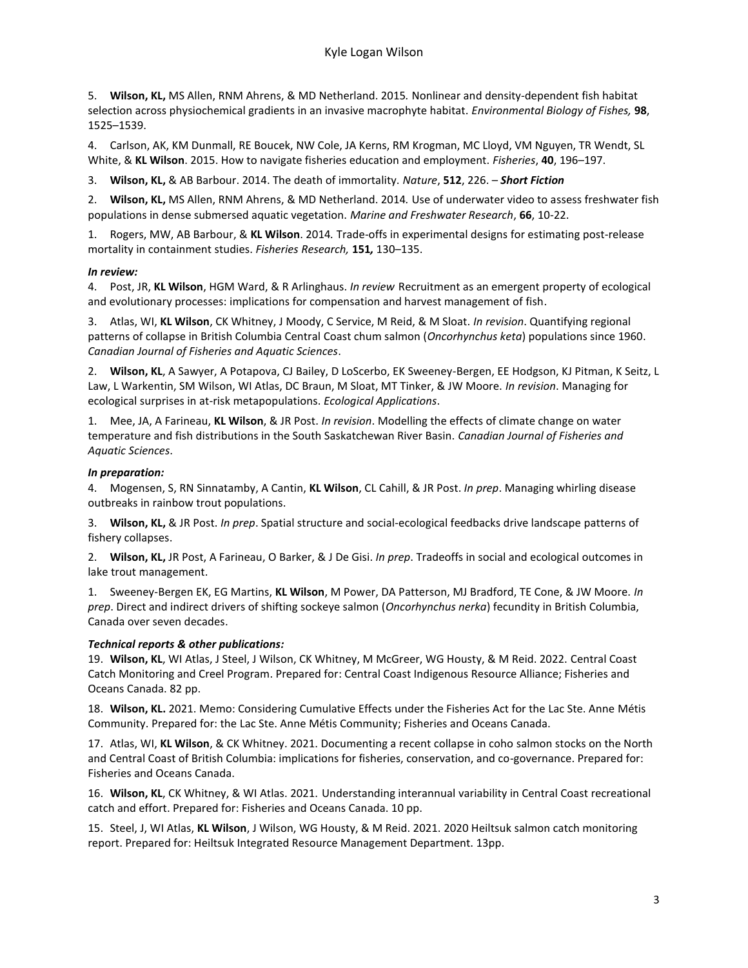5. **Wilson, KL,** MS Allen, RNM Ahrens, & MD Netherland. 2015*.* Nonlinear and density-dependent fish habitat selection across physiochemical gradients in an invasive macrophyte habitat. *Environmental Biology of Fishes,* **98**, 1525–1539.

4. Carlson, AK, KM Dunmall, RE Boucek, NW Cole, JA Kerns, RM Krogman, MC Lloyd, VM Nguyen, TR Wendt, SL White, & **KL Wilson**. 2015. How to navigate fisheries education and employment. *Fisheries*, **40**, 196–197.

3. **Wilson, KL,** & AB Barbour. 2014. The death of immortality. *Nature*, **512**, 226. – *Short Fiction*

2. **Wilson, KL,** MS Allen, RNM Ahrens, & MD Netherland. 2014*.* Use of underwater video to assess freshwater fish populations in dense submersed aquatic vegetation. *Marine and Freshwater Research*, **66**, 10-22.

1. Rogers, MW, AB Barbour, & **KL Wilson**. 2014*.* Trade-offs in experimental designs for estimating post-release mortality in containment studies. *Fisheries Research,* **151***,* 130–135.

#### *In review:*

4. Post, JR, **KL Wilson**, HGM Ward, & R Arlinghaus. *In review* Recruitment as an emergent property of ecological and evolutionary processes: implications for compensation and harvest management of fish.

3. Atlas, WI, **KL Wilson**, CK Whitney, J Moody, C Service, M Reid, & M Sloat. *In revision*. Quantifying regional patterns of collapse in British Columbia Central Coast chum salmon (*Oncorhynchus keta*) populations since 1960. *Canadian Journal of Fisheries and Aquatic Sciences*.

2. **Wilson, KL**, A Sawyer, A Potapova, CJ Bailey, D LoScerbo, EK Sweeney-Bergen, EE Hodgson, KJ Pitman, K Seitz, L Law, L Warkentin, SM Wilson, WI Atlas, DC Braun, M Sloat, MT Tinker, & JW Moore. *In revision*. Managing for ecological surprises in at-risk metapopulations. *Ecological Applications*.

1. Mee, JA, A Farineau, **KL Wilson**, & JR Post. *In revision*. Modelling the effects of climate change on water temperature and fish distributions in the South Saskatchewan River Basin. *Canadian Journal of Fisheries and Aquatic Sciences*.

# *In preparation:*

4. Mogensen, S, RN Sinnatamby, A Cantin, **KL Wilson**, CL Cahill, & JR Post. *In prep*. Managing whirling disease outbreaks in rainbow trout populations.

3. **Wilson, KL,** & JR Post. *In prep*. Spatial structure and social-ecological feedbacks drive landscape patterns of fishery collapses.

2. **Wilson, KL,** JR Post, A Farineau, O Barker, & J De Gisi. *In prep*. Tradeoffs in social and ecological outcomes in lake trout management.

1. Sweeney-Bergen EK, EG Martins, **KL Wilson**, M Power, DA Patterson, MJ Bradford, TE Cone, & JW Moore. *In prep*. Direct and indirect drivers of shifting sockeye salmon (*Oncorhynchus nerka*) fecundity in British Columbia, Canada over seven decades.

# *Technical reports & other publications:*

19. **Wilson, KL**, WI Atlas, J Steel, J Wilson, CK Whitney, M McGreer, WG Housty, & M Reid. 2022. Central Coast Catch Monitoring and Creel Program. Prepared for: Central Coast Indigenous Resource Alliance; Fisheries and Oceans Canada. 82 pp.

18. **Wilson, KL.** 2021. Memo: Considering Cumulative Effects under the Fisheries Act for the Lac Ste. Anne Métis Community. Prepared for: the Lac Ste. Anne Métis Community; Fisheries and Oceans Canada.

17. Atlas, WI, **KL Wilson**, & CK Whitney. 2021. Documenting a recent collapse in coho salmon stocks on the North and Central Coast of British Columbia: implications for fisheries, conservation, and co-governance. Prepared for: Fisheries and Oceans Canada.

16. **Wilson, KL**, CK Whitney, & WI Atlas. 2021. Understanding interannual variability in Central Coast recreational catch and effort. Prepared for: Fisheries and Oceans Canada. 10 pp.

15. Steel, J, WI Atlas, **KL Wilson**, J Wilson, WG Housty, & M Reid. 2021. 2020 Heiltsuk salmon catch monitoring report. Prepared for: Heiltsuk Integrated Resource Management Department. 13pp.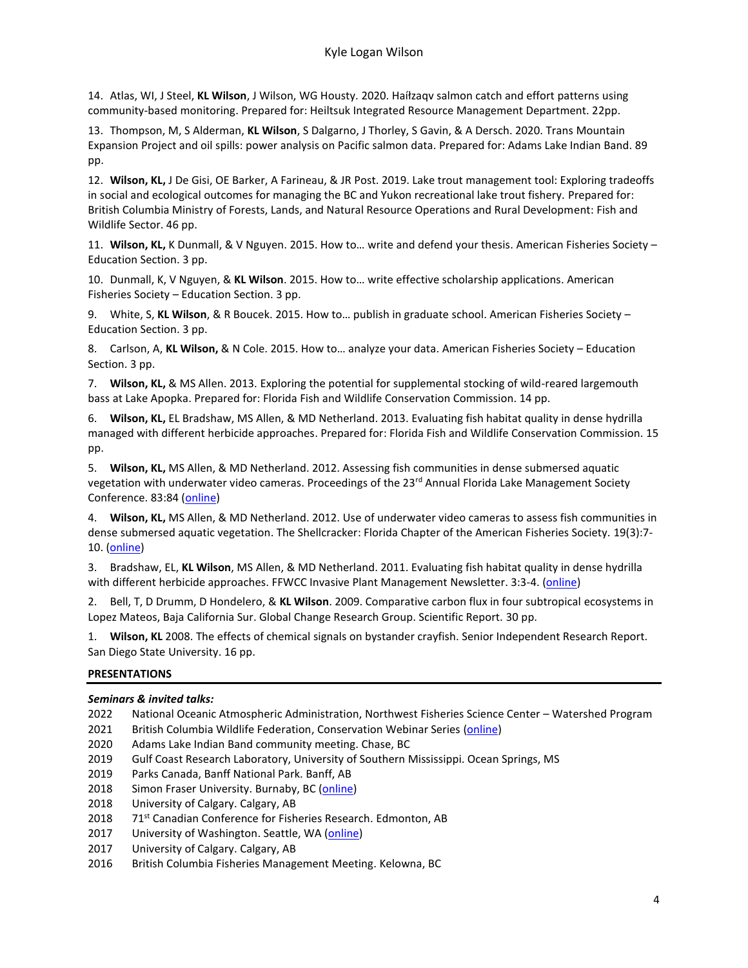14. Atlas, WI, J Steel, **KL Wilson**, J Wilson, WG Housty. 2020. Haíłzaqv salmon catch and effort patterns using community-based monitoring. Prepared for: Heiltsuk Integrated Resource Management Department. 22pp.

13. Thompson, M, S Alderman, **KL Wilson**, S Dalgarno, J Thorley, S Gavin, & A Dersch. 2020. Trans Mountain Expansion Project and oil spills: power analysis on Pacific salmon data. Prepared for: Adams Lake Indian Band. 89 pp.

12. **Wilson, KL,** J De Gisi, OE Barker, A Farineau, & JR Post. 2019. Lake trout management tool: Exploring tradeoffs in social and ecological outcomes for managing the BC and Yukon recreational lake trout fishery. Prepared for: British Columbia Ministry of Forests, Lands, and Natural Resource Operations and Rural Development: Fish and Wildlife Sector. 46 pp.

11. **Wilson, KL,** K Dunmall, & V Nguyen. 2015. How to… write and defend your thesis. American Fisheries Society – Education Section. 3 pp.

10. Dunmall, K, V Nguyen, & **KL Wilson**. 2015. How to… write effective scholarship applications. American Fisheries Society – Education Section. 3 pp.

9. White, S, **KL Wilson**, & R Boucek. 2015. How to… publish in graduate school. American Fisheries Society – Education Section. 3 pp.

8. Carlson, A, **KL Wilson,** & N Cole. 2015. How to… analyze your data. American Fisheries Society – Education Section. 3 pp.

7. **Wilson, KL,** & MS Allen. 2013. Exploring the potential for supplemental stocking of wild-reared largemouth bass at Lake Apopka. Prepared for: Florida Fish and Wildlife Conservation Commission. 14 pp.

6. **Wilson, KL,** EL Bradshaw, MS Allen, & MD Netherland. 2013. Evaluating fish habitat quality in dense hydrilla managed with different herbicide approaches. Prepared for: Florida Fish and Wildlife Conservation Commission. 15 pp.

5. **Wilson, KL,** MS Allen, & MD Netherland. 2012. Assessing fish communities in dense submersed aquatic vegetation with underwater video cameras. Proceedings of the 23<sup>rd</sup> Annual Florida Lake Management Society Conference. 83:84 [\(online\)](http://flms.net/images/stories/uploads/annual-conference/2012_conference/2012%20flms%20proceedings.pdf)

4. **Wilson, KL,** MS Allen, & MD Netherland. 2012. Use of underwater video cameras to assess fish communities in dense submersed aquatic vegetation. The Shellcracker: Florida Chapter of the American Fisheries Society. 19(3):7- 10. [\(online\)](http://www.sdafs.org/flafs/PDF/Oct2012Shellcracker.pdf)

3. Bradshaw, EL, **KL Wilson**, MS Allen, & MD Netherland. 2011. Evaluating fish habitat quality in dense hydrilla with different herbicide approaches. FFWCC Invasive Plant Management Newsletter. 3:3-4. [\(online\)](http://plants.ifas.ufl.edu/misc/pdfs/FWC_Invasive_Species_Research_Newsletter_2011.pdf)

2. Bell, T, D Drumm, D Hondelero, & **KL Wilson**. 2009. Comparative carbon flux in four subtropical ecosystems in Lopez Mateos, Baja California Sur. Global Change Research Group. Scientific Report. 30 pp.

1. **Wilson, KL** 2008. The effects of chemical signals on bystander crayfish. Senior Independent Research Report. San Diego State University. 16 pp.

# **PRESENTATIONS**

#### *Seminars & invited talks:*

- 2022 National Oceanic Atmospheric Administration, Northwest Fisheries Science Center Watershed Program
- 2021 British Columbia Wildlife Federation, Conservation Webinar Series [\(online\)](https://youtu.be/FGaIzKECGmU)
- 2020 Adams Lake Indian Band community meeting. Chase, BC
- 2019 Gulf Coast Research Laboratory, University of Southern Mississippi. Ocean Springs, MS
- 2019 Parks Canada, Banff National Park. Banff, AB
- 2018 Simon Fraser University. Burnaby, BC [\(online\)](https://www.sfu.ca/biology/research/seminars-defenses/les-ecologistes.html)
- 2018 University of Calgary. Calgary, AB
- 2018 71<sup>st</sup> Canadian Conference for Fisheries Research. Edmonton, AB
- 2017 University of Washington. Seattle, WA [\(online\)](https://depts.washington.edu/safsquan/abstracts/Wilson_W17.html)
- 2017 University of Calgary. Calgary, AB
- 2016 British Columbia Fisheries Management Meeting. Kelowna, BC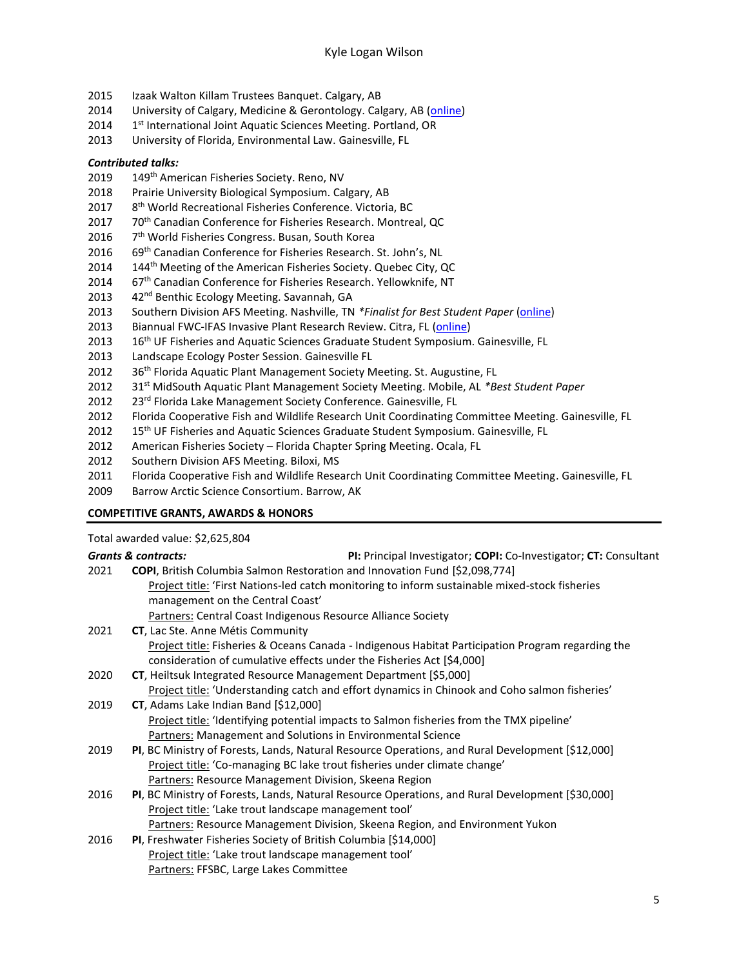- 2015 Izaak Walton Killam Trustees Banquet. Calgary, AB
- 2014 University of Calgary, Medicine & Gerontology. Calgary, AB [\(online\)](http://www.ucalgary.ca/isar/whats-new)
- 2014 1<sup>st</sup> International Joint Aquatic Sciences Meeting. Portland, OR
- 2013 University of Florida, Environmental Law. Gainesville, FL

#### *Contributed talks:*

- 2019 149<sup>th</sup> American Fisheries Society. Reno, NV
- 2018 Prairie University Biological Symposium. Calgary, AB
- 2017 8<sup>th</sup> World Recreational Fisheries Conference. Victoria, BC
- 2017 70<sup>th</sup> Canadian Conference for Fisheries Research. Montreal, QC
- 2016 7<sup>th</sup> World Fisheries Congress. Busan, South Korea
- 2016 69th Canadian Conference for Fisheries Research. St. John's, NL
- 2014 144<sup>th</sup> Meeting of the American Fisheries Society. Quebec City, QC
- 2014 67<sup>th</sup> Canadian Conference for Fisheries Research. Yellowknife, NT
- 2013 42<sup>nd</sup> Benthic Ecology Meeting. Savannah, GA
- 2013 Southern Division AFS Meeting. Nashville, TN *\*Finalist for Best Student Paper* [\(online\)](http://129.15.97.19/SDAFS_2013/Sport_Wilson/Sport_Wilson.html)
- 2013 Biannual FWC-IFAS Invasive Plant Research Review. Citra, FL [\(online\)](http://plants.ifas.ufl.edu/misc/pdfs/researchreview/2013/AssessingHabitatQualityAndFishInHydrilla-ErinBradshaw.pdf)
- 2013 16<sup>th</sup> UF Fisheries and Aquatic Sciences Graduate Student Symposium. Gainesville, FL
- 2013 Landscape Ecology Poster Session. Gainesville FL
- 2012 36<sup>th</sup> Florida Aquatic Plant Management Society Meeting. St. Augustine, FL
- 2012 31st MidSouth Aquatic Plant Management Society Meeting. Mobile, AL *\*Best Student Paper*
- 2012 23<sup>rd</sup> Florida Lake Management Society Conference. Gainesville, FL
- 2012 Florida Cooperative Fish and Wildlife Research Unit Coordinating Committee Meeting. Gainesville, FL
- 2012 15<sup>th</sup> UF Fisheries and Aquatic Sciences Graduate Student Symposium. Gainesville, FL
- 2012 American Fisheries Society Florida Chapter Spring Meeting. Ocala, FL
- 2012 Southern Division AFS Meeting. Biloxi, MS
- 2011 Florida Cooperative Fish and Wildlife Research Unit Coordinating Committee Meeting. Gainesville, FL
- 2009 Barrow Arctic Science Consortium. Barrow, AK

# **COMPETITIVE GRANTS, AWARDS & HONORS**

#### Total awarded value: \$2,625,804

- *Grants & contracts:* **PI:** Principal Investigator; **COPI:** Co-Investigator; **CT:** Consultant 2021 **COPI**, British Columbia Salmon Restoration and Innovation Fund [\$2,098,774] Project title: 'First Nations-led catch monitoring to inform sustainable mixed-stock fisheries management on the Central Coast' Partners: Central Coast Indigenous Resource Alliance Society
- 2021 **CT**, Lac Ste. Anne Métis Community Project title: Fisheries & Oceans Canada - Indigenous Habitat Participation Program regarding the consideration of cumulative effects under the Fisheries Act [\$4,000]
- 2020 **CT**, Heiltsuk Integrated Resource Management Department [\$5,000] Project title: 'Understanding catch and effort dynamics in Chinook and Coho salmon fisheries'
- 2019 **CT**, Adams Lake Indian Band [\$12,000] Project title: 'Identifying potential impacts to Salmon fisheries from the TMX pipeline' Partners: Management and Solutions in Environmental Science
- 2019 **PI**, BC Ministry of Forests, Lands, Natural Resource Operations, and Rural Development [\$12,000] Project title: 'Co-managing BC lake trout fisheries under climate change' Partners: Resource Management Division, Skeena Region
- 2016 **PI**, BC Ministry of Forests, Lands, Natural Resource Operations, and Rural Development [\$30,000] Project title: 'Lake trout landscape management tool' Partners: Resource Management Division, Skeena Region, and Environment Yukon
- 2016 **PI**, Freshwater Fisheries Society of British Columbia [\$14,000] Project title: 'Lake trout landscape management tool' Partners: FFSBC, Large Lakes Committee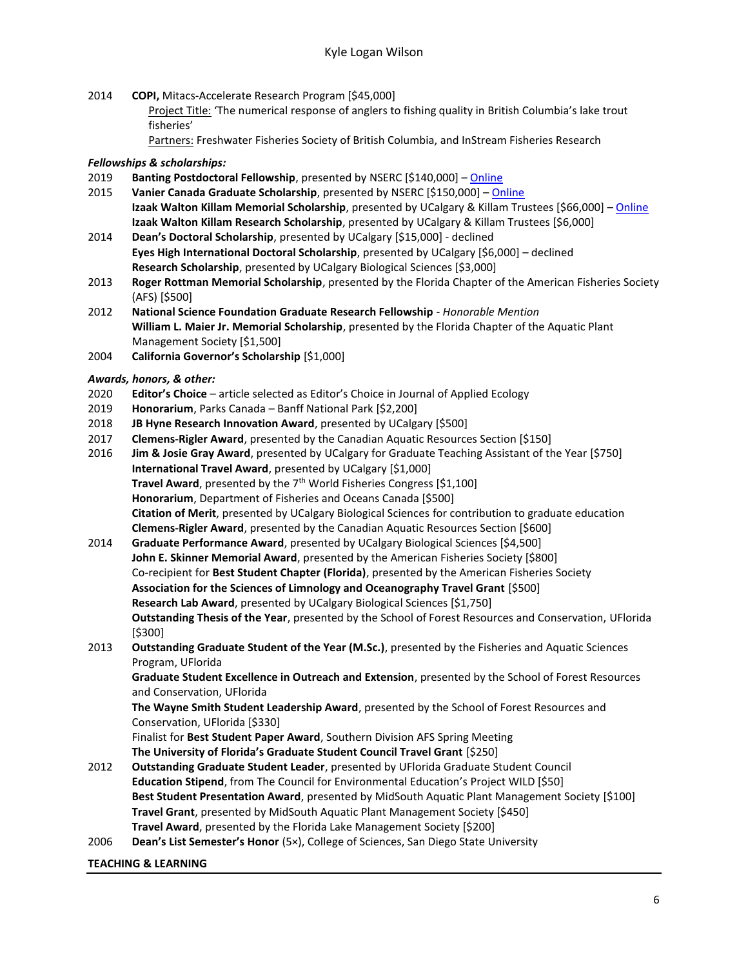2014 **COPI,** Mitacs-Accelerate Research Program [\$45,000]

Project Title: 'The numerical response of anglers to fishing quality in British Columbia's lake trout fisheries'

Partners: Freshwater Fisheries Society of British Columbia, and InStream Fisheries Research

# *Fellowships & scholarships:*

- 2019 **Banting Postdoctoral Fellowship**, presented by NSERC [\$140,000] [Online](http://www.sfu.ca/dean-gradstudies/news-updates/profiles/2019-vanier-banting-awardees/Kyle-Wilson.html)
- 2015 **Vanier Canada Graduate Scholarship**, presented by NSERC [\$150,000] [Online](https://www.ucalgary.ca/utoday/issue/2015-11-04/nine-grad-students-awarded-prestigious-vanier-scholarships) **Izaak Walton Killam Memorial Scholarship**, presented by UCalgary & Killam Trustees [\$66,000] - [Online](http://ucalgary.ca/utoday/issue/2015-10-21/2015-killam-scholars-and-award-winners-celebrated-annual-reception) **Izaak Walton Killam Research Scholarship**, presented by UCalgary & Killam Trustees [\$6,000]
- 2014 **Dean's Doctoral Scholarship**, presented by UCalgary [\$15,000] declined **Eyes High International Doctoral Scholarship**, presented by UCalgary [\$6,000] – declined **Research Scholarship**, presented by UCalgary Biological Sciences [\$3,000]
- 2013 **Roger Rottman Memorial Scholarship**, presented by the Florida Chapter of the American Fisheries Society (AFS) [\$500]
- 2012 **National Science Foundation Graduate Research Fellowship** *Honorable Mention* **William L. Maier Jr. Memorial Scholarship**, presented by the Florida Chapter of the Aquatic Plant Management Society [\$1,500]
- 2004 **California Governor's Scholarship** [\$1,000]

# *Awards, honors, & other:*

- 2020 **Editor's Choice** article selected as Editor's Choice in Journal of Applied Ecology
- 2019 **Honorarium**, Parks Canada Banff National Park [\$2,200]
- 2018 **JB Hyne Research Innovation Award**, presented by UCalgary [\$500]
- 2017 **Clemens-Rigler Award**, presented by the Canadian Aquatic Resources Section [\$150]
- 2016 **Jim & Josie Gray Award**, presented by UCalgary for Graduate Teaching Assistant of the Year [\$750] **International Travel Award**, presented by UCalgary [\$1,000] **Travel Award**, presented by the 7<sup>th</sup> World Fisheries Congress [\$1,100] **Honorarium**, Department of Fisheries and Oceans Canada [\$500] **Citation of Merit**, presented by UCalgary Biological Sciences for contribution to graduate education **Clemens-Rigler Award**, presented by the Canadian Aquatic Resources Section [\$600]
- 2014 **Graduate Performance Award**, presented by UCalgary Biological Sciences [\$4,500] **John E. Skinner Memorial Award**, presented by the American Fisheries Society [\$800] Co-recipient for **Best Student Chapter (Florida)**, presented by the American Fisheries Society **Association for the Sciences of Limnology and Oceanography Travel Grant** [\$500] **Research Lab Award**, presented by UCalgary Biological Sciences [\$1,750] **Outstanding Thesis of the Year**, presented by the School of Forest Resources and Conservation, UFlorida [\$300]
- 2013 **Outstanding Graduate Student of the Year (M.Sc.)**, presented by the Fisheries and Aquatic Sciences Program, UFlorida

**Graduate Student Excellence in Outreach and Extension**, presented by the School of Forest Resources and Conservation, UFlorida

**The Wayne Smith Student Leadership Award**, presented by the School of Forest Resources and Conservation, UFlorida [\$330]

Finalist for **Best Student Paper Award**, Southern Division AFS Spring Meeting

**The University of Florida's Graduate Student Council Travel Grant** [\$250]

- 2012 **Outstanding Graduate Student Leader**, presented by UFlorida Graduate Student Council **Education Stipend**, from The Council for Environmental Education's Project WILD [\$50] **Best Student Presentation Award**, presented by MidSouth Aquatic Plant Management Society [\$100] **Travel Grant**, presented by MidSouth Aquatic Plant Management Society [\$450] **Travel Award**, presented by the Florida Lake Management Society [\$200]
- 2006 **Dean's List Semester's Honor** (5×), College of Sciences, San Diego State University

# **TEACHING & LEARNING**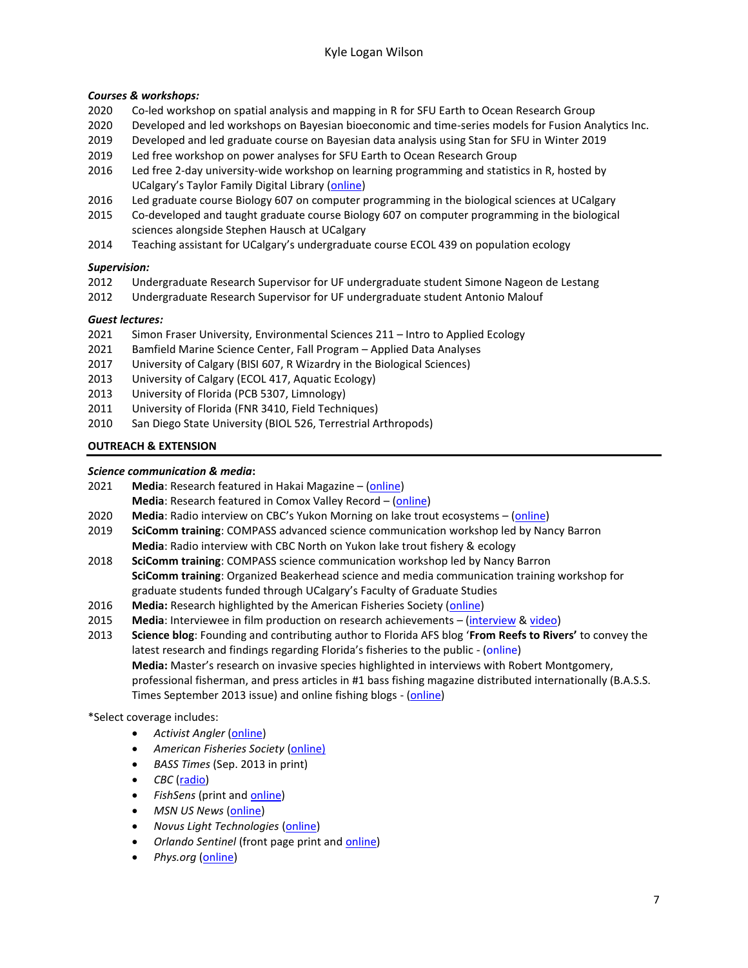# *Courses & workshops:*

- 2020 Co-led workshop on spatial analysis and mapping in R for SFU Earth to Ocean Research Group
- 2020 Developed and led workshops on Bayesian bioeconomic and time-series models for Fusion Analytics Inc.
- 2019 Developed and led graduate course on Bayesian data analysis using Stan for SFU in Winter 2019
- 2019 Led free workshop on power analyses for SFU Earth to Ocean Research Group
- 2016 Led free 2-day university-wide workshop on learning programming and statistics in R, hosted by UCalgary's Taylor Family Digital Library ([online\)](https://www.ucalgary.ca/events/calendar/r-wizardry-workshop)
- 2016 Led graduate course Biology 607 on computer programming in the biological sciences at UCalgary
- 2015 Co-developed and taught graduate course Biology 607 on computer programming in the biological sciences alongside Stephen Hausch at UCalgary
- 2014 Teaching assistant for UCalgary's undergraduate course ECOL 439 on population ecology

# *Supervision:*

- 2012 Undergraduate Research Supervisor for UF undergraduate student Simone Nageon de Lestang
- 2012 Undergraduate Research Supervisor for UF undergraduate student Antonio Malouf

# *Guest lectures:*

- 2021 Simon Fraser University, Environmental Sciences 211 Intro to Applied Ecology
- 2021 Bamfield Marine Science Center, Fall Program Applied Data Analyses
- 2017 University of Calgary (BISI 607, R Wizardry in the Biological Sciences)
- 2013 University of Calgary (ECOL 417, Aquatic Ecology)
- 2013 University of Florida (PCB 5307, Limnology)
- 2011 University of Florida (FNR 3410, Field Techniques)
- 2010 San Diego State University (BIOL 526, Terrestrial Arthropods)

# **OUTREACH & EXTENSION**

# *Science communication & media***:**

- 2021 **Media**: Research featured in Hakai Magazine [\(online\)](https://www.hakaimagazine.com/news/salmon-need-trees/)
- **Media**: Research featured in Comox Valley Record [\(online\)](https://www.comoxvalleyrecord.com/news/vancouver-island-study-disentangles-river-and-marine-stressors-on-salmon-and-trout/)
- 2020 **Media**: Radio interview on CBC's Yukon Morning on lake trout ecosystems [\(online\)](https://www.cbc.ca/listen/live-radio/1-393-yukon-morning/clip/15760115-studying-lake-trout-in-the-yukon)
- 2019 **SciComm training**: COMPASS advanced science communication workshop led by Nancy Barron **Media**: Radio interview with CBC North on Yukon lake trout fishery & ecology
- 2018 **SciComm training**: COMPASS science communication workshop led by Nancy Barron **SciComm training**: Organized Beakerhead science and media communication training workshop for graduate students funded through UCalgary's Faculty of Graduate Studies
- 2016 **Media:** Research highlighted by the American Fisheries Society [\(online\)](http://habitat.fisheries.org/assessing-fish-abundance-using-underwater-video/)
- 2015 **Media**: Interviewee in film production on research achievements [\(interview](https://grad.ucalgary.ca/news/ecology-phd-student-receives-vanier-and-killam-awards) & [video\)](https://www.youtube.com/watch?v=RIgiryuCmZw)
- 2013 **Science blog**: Founding and contributing author to Florida AFS blog '**From Reefs to Rivers'** to convey the latest research and findings regarding Florida's fisheries to the public - [\(online\)](http://floridafisheriesscience.blogspot.com/) **Media:** Master's research on invasive species highlighted in interviews with Robert Montgomery, professional fisherman, and press articles in #1 bass fishing magazine distributed internationally (B.A.S.S. Times September 2013 issue) and online fishing blogs - [\(online\)](http://www.activistangler.com/journal/2013/9/9/whats-going-on-below-that-thick-hydrilla-now-we-know.html)

# \*Select coverage includes:

- *Activist Angler* [\(online\)](http://www.activistangler.com/journal/2013/9/9/whats-going-on-below-that-thick-hydrilla-now-we-know.html)
- *American Fisheries Society* [\(online\)](http://habitat.fisheries.org/assessing-fish-abundance-using-underwater-video/)
- *BASS Times* (Sep. 2013 in print)
- *CBC* [\(radio\)](https://www.cbc.ca/listen/live-radio/1-393-yukon-morning/clip/15760115-studying-lake-trout-in-the-yukon)
- *FishSens* (print and [online\)](http://magazine.fishsens.com/underwater-video-fish-population.htm)
- *MSN US News* [\(online\)](http://www.msn.com/en-us/news/us/secret-world-of-aquatic-weeds-in-fla-lake-reveals-fish-alligators-turtles/ar-AA8ZdAv)
- Novus Light Technologies [\(online\)](http://www.novuslight.com/video-camera-helps-count-fish-underwater_N3583.html)
- *Orlando Sentinel* (front page print and [online\)](http://www.orlandosentinel.com/news/os-secret-fish-world-20150202-story.html)
- *Phys.org* [\(online\)](http://phys.org/news/2015-01-fish-camera-freshwater-combat-hydrilla.html)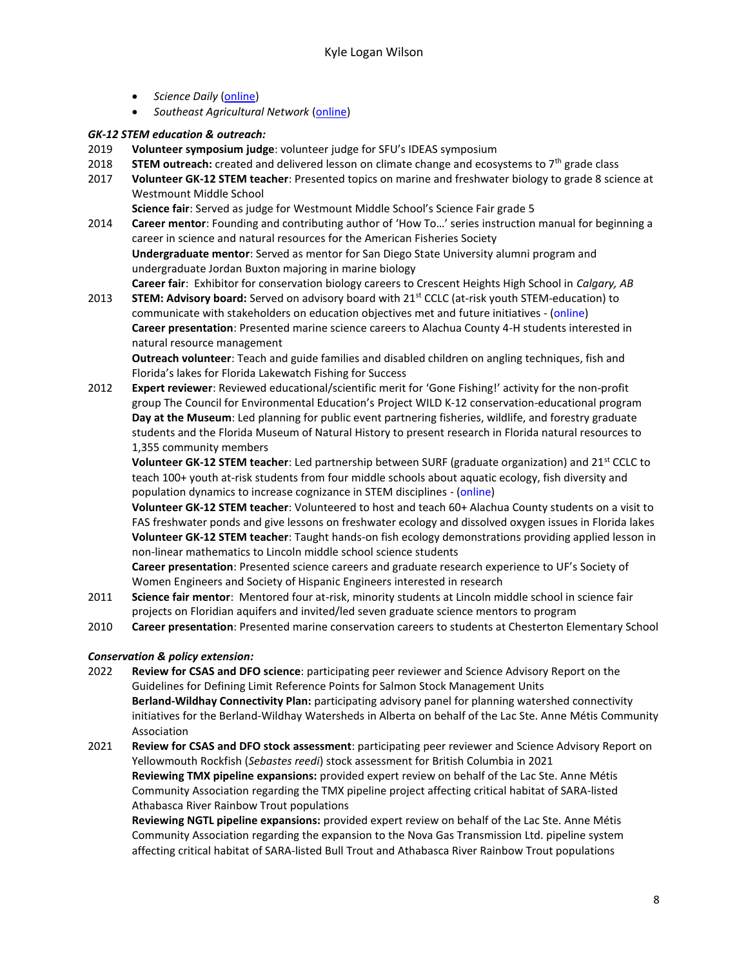- *Science Daily* (online)
- *Southeast Agricultural Network* (online)

# *GK-12 STEM education & outreach:*

- 2019 **Volunteer symposium judge**: volunteer judge for SFU's IDEAS symposium
- 2018 **STEM outreach:** created and delivered lesson on climate change and ecosystems to 7th grade class
- 2017 **Volunteer GK-12 STEM teacher**: Presented topics on marine and freshwater biology to grade 8 science at Westmount Middle School

**Science fair**: Served as judge for Westmount Middle School's Science Fair grade 5

- 2014 **Career mentor**: Founding and contributing author of 'How To…' series instruction manual for beginning a career in science and natural resources for the American Fisheries Society **Undergraduate mentor**: Served as mentor for San Diego State University alumni program and undergraduate Jordan Buxton majoring in marine biology **Career fair**: Exhibitor for conservation biology careers to Crescent Heights High School in *Calgary, AB*
- 2013 **STEM: Advisory board:** Served on advisory board with 21st CCLC (at-risk youth STEM-education) to communicate with stakeholders on education objectives met and future initiatives - (online) **Career presentation**: Presented marine science careers to Alachua County 4-H students interested in natural resource management

**Outreach volunteer**: Teach and guide families and disabled children on angling techniques, fish and Florida's lakes for Florida Lakewatch Fishing for Success

2012 **Expert reviewer**: Reviewed educational/scientific merit for 'Gone Fishing!' activity for the non-profit group The Council for Environmental Education's Project WILD K-12 conservation-educational program **Day at the Museum**: Led planning for public event partnering fisheries, wildlife, and forestry graduate students and the Florida Museum of Natural History to present research in Florida natural resources to 1,355 community members

**Volunteer GK-12 STEM teacher**: Led partnership between SURF (graduate organization) and 21<sup>st</sup> CCLC to teach 100+ youth at-risk students from four middle schools about aquatic ecology, fish diversity and population dynamics to increase cognizance in STEM disciplines - (online)

**Volunteer GK-12 STEM teacher**: Volunteered to host and teach 60+ Alachua County students on a visit to FAS freshwater ponds and give lessons on freshwater ecology and dissolved oxygen issues in Florida lakes **Volunteer GK-12 STEM teacher**: Taught hands-on fish ecology demonstrations providing applied lesson in non-linear mathematics to Lincoln middle school science students

**Career presentation**: Presented science careers and graduate research experience to UF's Society of Women Engineers and Society of Hispanic Engineers interested in research

- 2011 **Science fair mentor**: Mentored four at-risk, minority students at Lincoln middle school in science fair projects on Floridian aquifers and invited/led seven graduate science mentors to program
- 2010 **Career presentation**: Presented marine conservation careers to students at Chesterton Elementary School

# *Conservation & policy extension:*

- 2022 **Review for CSAS and DFO science**: participating peer reviewer and Science Advisory Report on the Guidelines for Defining Limit Reference Points for Salmon Stock Management Units **Berland-Wildhay Connectivity Plan:** participating advisory panel for planning watershed connectivity initiatives for the Berland-Wildhay Watersheds in Alberta on behalf of the Lac Ste. Anne Métis Community Association
- 2021 **Review for CSAS and DFO stock assessment**: participating peer reviewer and Science Advisory Report on Yellowmouth Rockfish (*Sebastes reedi*) stock assessment for British Columbia in 2021 **Reviewing TMX pipeline expansions:** provided expert review on behalf of the Lac Ste. Anne Métis Community Association regarding the TMX pipeline project affecting critical habitat of SARA-listed Athabasca River Rainbow Trout populations

**Reviewing NGTL pipeline expansions:** provided expert review on behalf of the Lac Ste. Anne Métis Community Association regarding the expansion to the Nova Gas Transmission Ltd. pipeline system affecting critical habitat of SARA-listed Bull Trout and Athabasca River Rainbow Trout populations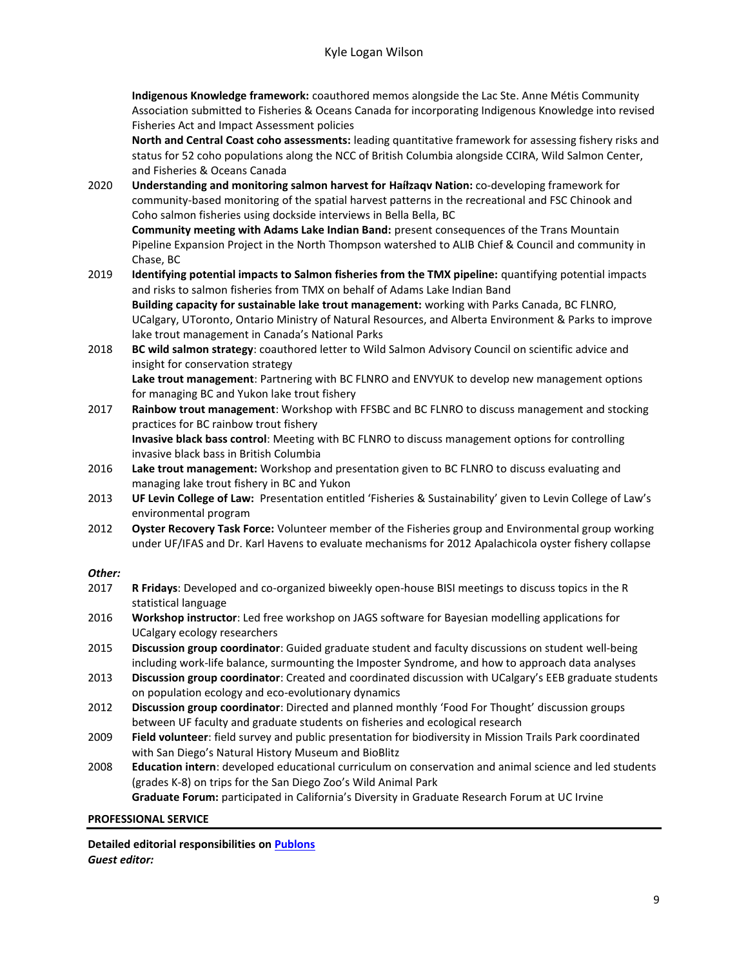**Indigenous Knowledge framework:** coauthored memos alongside the Lac Ste. Anne Métis Community Association submitted to Fisheries & Oceans Canada for incorporating Indigenous Knowledge into revised Fisheries Act and Impact Assessment policies

**North and Central Coast coho assessments:** leading quantitative framework for assessing fishery risks and status for 52 coho populations along the NCC of British Columbia alongside CCIRA, Wild Salmon Center, and Fisheries & Oceans Canada

2020 **Understanding and monitoring salmon harvest for Haíłzaqv Nation:** co-developing framework for community-based monitoring of the spatial harvest patterns in the recreational and FSC Chinook and Coho salmon fisheries using dockside interviews in Bella Bella, BC

**Community meeting with Adams Lake Indian Band:** present consequences of the Trans Mountain Pipeline Expansion Project in the North Thompson watershed to ALIB Chief & Council and community in Chase, BC

- 2019 **Identifying potential impacts to Salmon fisheries from the TMX pipeline:** quantifying potential impacts and risks to salmon fisheries from TMX on behalf of Adams Lake Indian Band **Building capacity for sustainable lake trout management:** working with Parks Canada, BC FLNRO, UCalgary, UToronto, Ontario Ministry of Natural Resources, and Alberta Environment & Parks to improve lake trout management in Canada's National Parks
- 2018 **BC wild salmon strategy**: coauthored letter to Wild Salmon Advisory Council on scientific advice and insight for conservation strategy **Lake trout management**: Partnering with BC FLNRO and ENVYUK to develop new management options for managing BC and Yukon lake trout fishery
- 2017 **Rainbow trout management**: Workshop with FFSBC and BC FLNRO to discuss management and stocking practices for BC rainbow trout fishery **Invasive black bass control**: Meeting with BC FLNRO to discuss management options for controlling invasive black bass in British Columbia
- 2016 **Lake trout management:** Workshop and presentation given to BC FLNRO to discuss evaluating and managing lake trout fishery in BC and Yukon
- 2013 **UF Levin College of Law:** Presentation entitled 'Fisheries & Sustainability' given to Levin College of Law's environmental program
- 2012 **Oyster Recovery Task Force:** Volunteer member of the Fisheries group and Environmental group working under UF/IFAS and Dr. Karl Havens to evaluate mechanisms for 2012 Apalachicola oyster fishery collapse

# *Other:*

- 2017 **R Fridays**: Developed and co-organized biweekly open-house BISI meetings to discuss topics in the R statistical language
- 2016 **Workshop instructor**: Led free workshop on JAGS software for Bayesian modelling applications for UCalgary ecology researchers
- 2015 **Discussion group coordinator**: Guided graduate student and faculty discussions on student well-being including work-life balance, surmounting the Imposter Syndrome, and how to approach data analyses
- 2013 **Discussion group coordinator**: Created and coordinated discussion with UCalgary's EEB graduate students on population ecology and eco-evolutionary dynamics
- 2012 **Discussion group coordinator**: Directed and planned monthly 'Food For Thought' discussion groups between UF faculty and graduate students on fisheries and ecological research
- 2009 **Field volunteer**: field survey and public presentation for biodiversity in Mission Trails Park coordinated with San Diego's Natural History Museum and BioBlitz
- 2008 **Education intern**: developed educational curriculum on conservation and animal science and led students (grades K-8) on trips for the San Diego Zoo's Wild Animal Park **Graduate Forum:** participated in California's Diversity in Graduate Research Forum at UC Irvine

# **PROFESSIONAL SERVICE**

**Detailed editorial responsibilities on Publons** *Guest editor:*